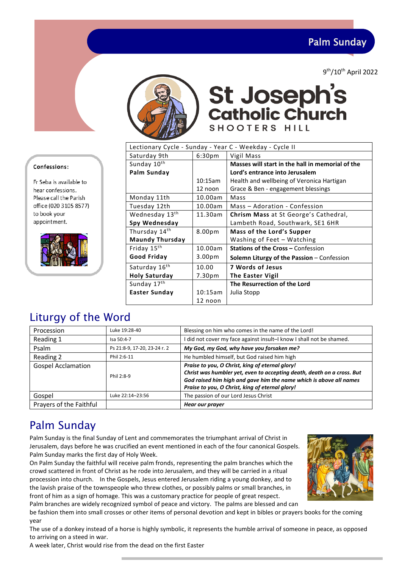Palm Sunday

9th/10th April 2022



# **St Joseph's Catholic Church SHOOTERS HILL**

Lectionary Cycle - Sunday - Year C - Weekday - Cycle II Saturday 9th | 6:30pm | Vigil Mass Sunday  $10^{th}$ **Palm Sunday** 10:15am 12 noon **Masses will start in the hall in memorial of the Lord's entrance into Jerusalem**  Health and wellbeing of Veronica Hartigan Grace & Ben - engagement blessings Monday 11th 10.00am | Mass Tuesday 12th 10.00am Mass – Adoration - Confession Wednesday 13<sup>th</sup> **Spy Wednesday** 11.30am **Chrism Mass** at St George's Cathedral, Lambeth Road, Southwark, SE1 6HR Thursday 14<sup>th</sup> **Maundy Thursday** 8.00pm **Mass of the Lord's Supper** Washing of Feet – Watching Friday 15th **Good Friday** 10.00am 3.00pm **Stations of the Cross –** Confession **Solemn Liturgy of the Passion** – Confession Saturday 16<sup>th</sup> **Holy Saturday** 10.00 7.30pm **7 Words of Jesus The Easter Vigil** Sunday 17<sup>th</sup> **Easter Sunday** | 10:15am **The Resurrection of the Lord**  Julia Stopp

## Liturgy of the Word

Confessions:

to book your appointment.

Fr Seba is available to hear confessions. Please call the Parish office (020 3105 8577)

| Procession                | Luke 19:28-40                | Blessing on him who comes in the name of the Lord!                                                                                                                                                                                                 |
|---------------------------|------------------------------|----------------------------------------------------------------------------------------------------------------------------------------------------------------------------------------------------------------------------------------------------|
| Reading 1                 | Isa 50:4-7                   | I did not cover my face against insult-I know I shall not be shamed.                                                                                                                                                                               |
| Psalm                     | Ps 21:8-9, 17-20, 23-24 r. 2 | My God, my God, why have you forsaken me?                                                                                                                                                                                                          |
| Reading 2                 | Phil 2:6-11                  | He humbled himself, but God raised him high                                                                                                                                                                                                        |
| <b>Gospel Acclamation</b> | Phil 2:8-9                   | Praise to you, O Christ, king of eternal glory!<br>Christ was humbler yet, even to accepting death, death on a cross. But<br>God raised him high and gave him the name which is above all names<br>Praise to you, O Christ, king of eternal glory! |
| Gospel                    | Luke 22:14-23:56             | The passion of our Lord Jesus Christ                                                                                                                                                                                                               |
| Prayers of the Faithful   |                              | Hear our prayer                                                                                                                                                                                                                                    |

12 noon

## Palm Sunday

Palm Sunday is the final Sunday of Lent and commemorates the triumphant arrival of Christ in Jerusalem, days before he was crucified an event mentioned in each of the four canonical Gospels. Palm Sunday marks the first day of Holy Week.

On Palm Sunday the faithful will receive palm fronds, representing the palm branches which the crowd scattered in front of Christ as he rode into Jerusalem, and they will be carried in a ritual procession into church. In the Gospels, Jesus entered Jerusalem riding a young donkey, and to the lavish praise of the townspeople who threw clothes, or possibly palms or small branches, in front of him as a sign of homage. This was a customary practice for people of great respect. Palm branches are widely recognized symbol of peace and victory. The palms are blessed and can

be fashion them into small crosses or other items of personal devotion and kept in bibles or prayers books for the coming year

The use of a donkey instead of a horse is highly symbolic, it represents the humble arrival of someone in peace, as opposed to arriving on a steed in war.

A week later, Christ would rise from the dead on the first Easter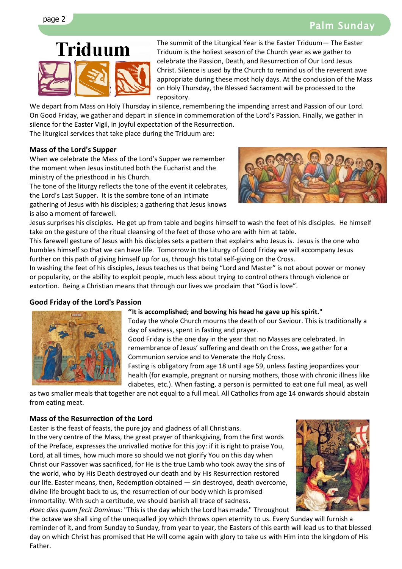# page 2 Palm Sunday



The summit of the Liturgical Year is the Easter Triduum— The Easter Triduum is the holiest season of the Church year as we gather to celebrate the Passion, Death, and Resurrection of Our Lord Jesus Christ. Silence is used by the Church to remind us of the reverent awe appropriate during these most holy days. At the conclusion of the Mass on Holy Thursday, the Blessed Sacrament will be processed to the repository.

We depart from Mass on Holy Thursday in silence, remembering the impending arrest and Passion of our Lord. On Good Friday, we gather and depart in silence in commemoration of the Lord's Passion. Finally, we gather in silence for the Easter Vigil, in joyful expectation of the Resurrection.

The liturgical services that take place during the Triduum are:

### **Mass of the Lord's Supper**

When we celebrate the Mass of the Lord's Supper we remember the moment when Jesus instituted both the Eucharist and the ministry of the priesthood in his Church.

The tone of the liturgy reflects the tone of the event it celebrates, the Lord's Last Supper. It is the sombre tone of an intimate gathering of Jesus with his disciples; a gathering that Jesus knows is also a moment of farewell.



Jesus surprises his disciples. He get up from table and begins himself to wash the feet of his disciples. He himself take on the gesture of the ritual cleansing of the feet of those who are with him at table.

This farewell gesture of Jesus with his disciples sets a pattern that explains who Jesus is. Jesus is the one who humbles himself so that we can have life. Tomorrow in the Liturgy of Good Friday we will accompany Jesus further on this path of giving himself up for us, through his total self-giving on the Cross.

In washing the feet of his disciples, Jesus teaches us that being "Lord and Master" is not about power or money or popularity, or the ability to exploit people, much less about trying to control others through violence or extortion. Being a Christian means that through our lives we proclaim that "God is love".

#### **Good Friday of the Lord's Passion**



#### **''It is accomplished; and bowing his head he gave up his spirit."**

Today the whole Church mourns the death of our Saviour. This is traditionally a day of sadness, spent in fasting and prayer.

Good Friday is the one day in the year that no Masses are celebrated. In remembrance of Jesus' suffering and death on the Cross, we gather for a Communion service and to Venerate the Holy Cross.

Fasting is obligatory from age 18 until age 59, unless fasting jeopardizes your health (for example, pregnant or nursing mothers, those with chronic illness like diabetes, etc.). When fasting, a person is permitted to eat one full meal, as well

as two smaller meals that together are not equal to a full meal. All Catholics from age 14 onwards should abstain from eating meat.

#### **Mass of the Resurrection of the Lord**

Easter is the feast of feasts, the pure joy and gladness of all Christians. In the very centre of the Mass, the great prayer of thanksgiving, from the first words of the Preface, expresses the unrivalled motive for this joy: if it is right to praise You, Lord, at all times, how much more so should we not glorify You on this day when Christ our Passover was sacrificed, for He is the true Lamb who took away the sins of the world, who by His Death destroyed our death and by His Resurrection restored

our life. Easter means, then, Redemption obtained — sin destroyed, death overcome, divine life brought back to us, the resurrection of our body which is promised immortality. With such a certitude, we should banish all trace of sadness. *Haec dies quam fecit Dominus*: "This is the day which the Lord has made." Throughout



the octave we shall sing of the unequalled joy which throws open eternity to us. Every Sunday will furnish a reminder of it, and from Sunday to Sunday, from year to year, the Easters of this earth will lead us to that blessed day on which Christ has promised that He will come again with glory to take us with Him into the kingdom of His Father.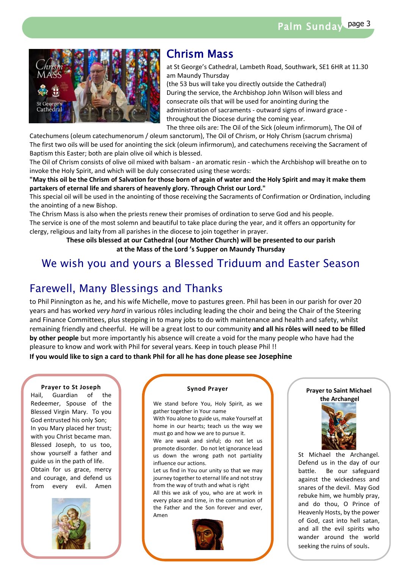Palm Sunday page 3



## Chrism Mass

at St George's Cathedral, Lambeth Road, Southwark, SE1 6HR at 11.30 am Maundy Thursday

(the 53 bus will take you directly outside the Cathedral) During the service, the Archbishop John Wilson will bless and consecrate oils that will be used for anointing during the administration of sacraments - outward signs of inward grace throughout the Diocese during the coming year.

The three oils are: The Oil of the Sick (oleum infirmorum), The Oil of

Catechumens (oleum catechumenorum / oleum sanctorum), The Oil of Chrism, or Holy Chrism (sacrum chrisma) The first two oils will be used for anointing the sick (oleum infirmorum), and catechumens receiving the Sacrament of Baptism this Easter; both are plain olive oil which is blessed.

The Oil of Chrism consists of olive oil mixed with balsam - an aromatic resin - which the Archbishop will breathe on to invoke the Holy Spirit, and which will be duly consecrated using these words:

**"May this oil be the Chrism of Salvation for those born of again of water and the Holy Spirit and may it make them partakers of eternal life and sharers of heavenly glory. Through Christ our Lord."**

This special oil will be used in the anointing of those receiving the Sacraments of Confirmation or Ordination, including the anointing of a new Bishop.

The Chrism Mass is also when the priests renew their promises of ordination to serve God and his people. The service is one of the most solemn and beautiful to take place during the year, and it offers an opportunity for clergy, religious and laity from all parishes in the diocese to join together in prayer.

> **These oils blessed at our Cathedral (our Mother Church) will be presented to our parish at the Mass of the Lord 's Supper on Maundy Thursday**

## We wish you and yours a Blessed Triduum and Easter Season

## Farewell, Many Blessings and Thanks

to Phil Pinnington as he, and his wife Michelle, move to pastures green. Phil has been in our parish for over 20 years and has worked *very hard* in various rôles including leading the choir and being the Chair of the Steering and Finance Committees, plus stepping in to many jobs to do with maintenance and health and safety, whilst remaining friendly and cheerful. He will be a great lost to our community **and all his rôles will need to be filled by other people** but more importantly his absence will create a void for the many people who have had the pleasure to know and work with Phil for several years. Keep in touch please Phil !!

**If you would like to sign a card to thank Phil for all he has done please see Josephine**

#### **Prayer to St Joseph**

Hail, Guardian of the Redeemer, Spouse of the Blessed Virgin Mary. To you God entrusted his only Son; In you Mary placed her trust; with you Christ became man. Blessed Joseph, to us too, show yourself a father and guide us in the path of life. Obtain for us grace, mercy and courage, and defend us from every evil. Amen



#### **Synod Prayer**

We stand before You, Holy Spirit, as we gather together in Your name

With You alone to guide us, make Yourself at home in our hearts; teach us the way we must go and how we are to pursue it.

We are weak and sinful; do not let us promote disorder. Do not let ignorance lead us down the wrong path not partiality influence our actions.

Let us find in You our unity so that we may journey together to eternal life and not stray from the way of truth and what is right

All this we ask of you, who are at work in every place and time, in the communion of the Father and the Son forever and ever, Amen



#### **Prayer to Saint Michael the Archangel**



St Michael the Archangel. Defend us in the day of our battle. Be our safeguard against the wickedness and snares of the devil. May God rebuke him, we humbly pray, and do thou, O Prince of Heavenly Hosts, by the power of God, cast into hell satan, and all the evil spirits who wander around the world seeking the ruins of souls.